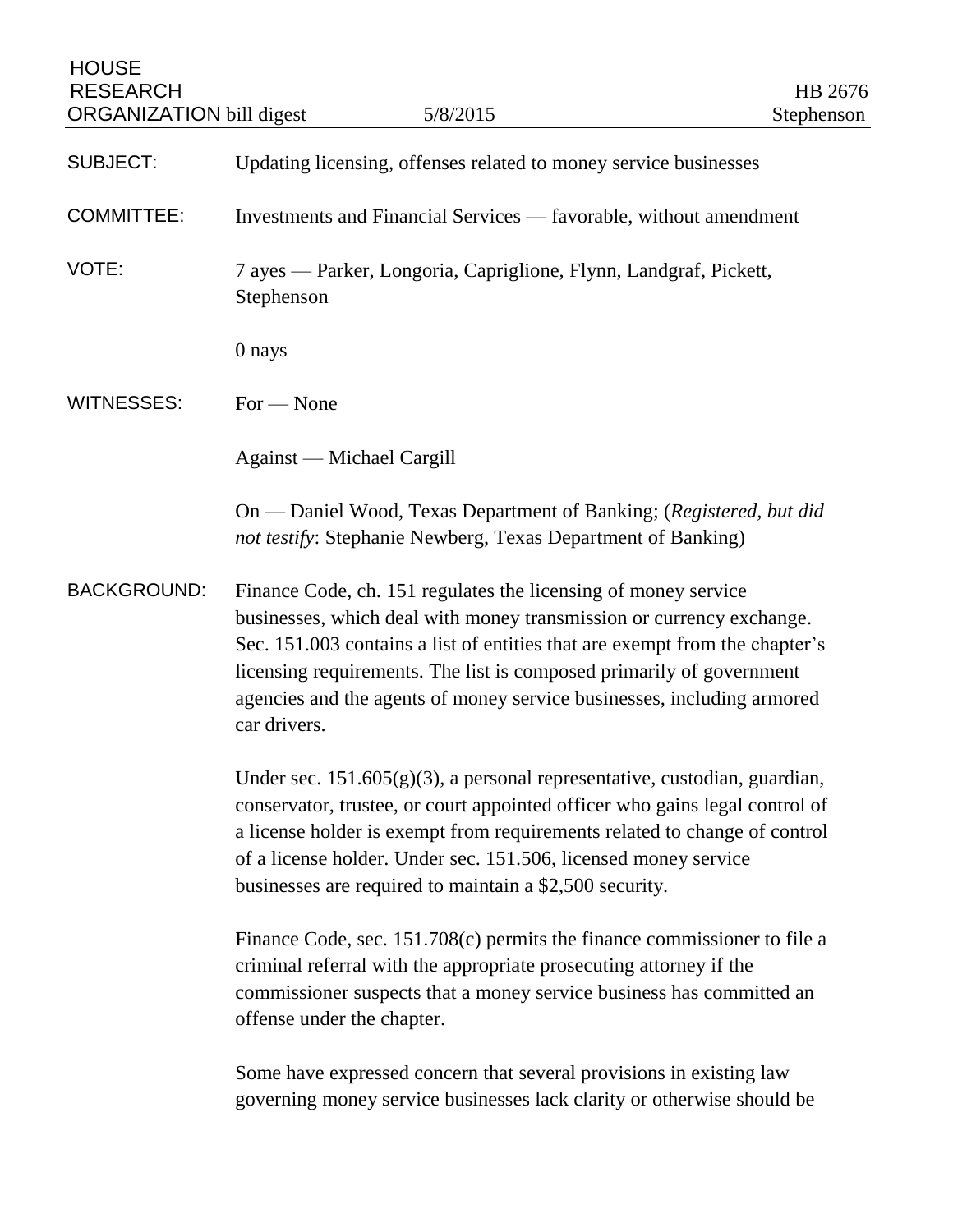| <b>HOUSE</b><br><b>RESEARCH</b><br><b>ORGANIZATION</b> bill digest | 5/8/2015                                                                                                                                                                                                                                                                                                                                                                                | HB 2676<br>Stephenson |
|--------------------------------------------------------------------|-----------------------------------------------------------------------------------------------------------------------------------------------------------------------------------------------------------------------------------------------------------------------------------------------------------------------------------------------------------------------------------------|-----------------------|
| <b>SUBJECT:</b>                                                    | Updating licensing, offenses related to money service businesses                                                                                                                                                                                                                                                                                                                        |                       |
| <b>COMMITTEE:</b>                                                  | Investments and Financial Services — favorable, without amendment                                                                                                                                                                                                                                                                                                                       |                       |
| VOTE:                                                              | 7 ayes — Parker, Longoria, Capriglione, Flynn, Landgraf, Pickett,<br>Stephenson                                                                                                                                                                                                                                                                                                         |                       |
|                                                                    | 0 nays                                                                                                                                                                                                                                                                                                                                                                                  |                       |
| <b>WITNESSES:</b>                                                  | $For - None$                                                                                                                                                                                                                                                                                                                                                                            |                       |
|                                                                    | Against — Michael Cargill                                                                                                                                                                                                                                                                                                                                                               |                       |
|                                                                    | On — Daniel Wood, Texas Department of Banking; (Registered, but did<br>not testify: Stephanie Newberg, Texas Department of Banking)                                                                                                                                                                                                                                                     |                       |
| <b>BACKGROUND:</b>                                                 | Finance Code, ch. 151 regulates the licensing of money service<br>businesses, which deal with money transmission or currency exchange.<br>Sec. 151.003 contains a list of entities that are exempt from the chapter's<br>licensing requirements. The list is composed primarily of government<br>agencies and the agents of money service businesses, including armored<br>car drivers. |                       |
|                                                                    | Under sec. $151.605(g)(3)$ , a personal representative, custodian, guardian,<br>conservator, trustee, or court appointed officer who gains legal control of<br>a license holder is exempt from requirements related to change of control<br>of a license holder. Under sec. 151.506, licensed money service<br>businesses are required to maintain a \$2,500 security.                  |                       |
|                                                                    | Finance Code, sec. 151.708(c) permits the finance commissioner to file a<br>criminal referral with the appropriate prosecuting attorney if the<br>commissioner suspects that a money service business has committed an<br>offense under the chapter.                                                                                                                                    |                       |
|                                                                    | Some have expressed concern that several provisions in existing law<br>governing money service businesses lack clarity or otherwise should be                                                                                                                                                                                                                                           |                       |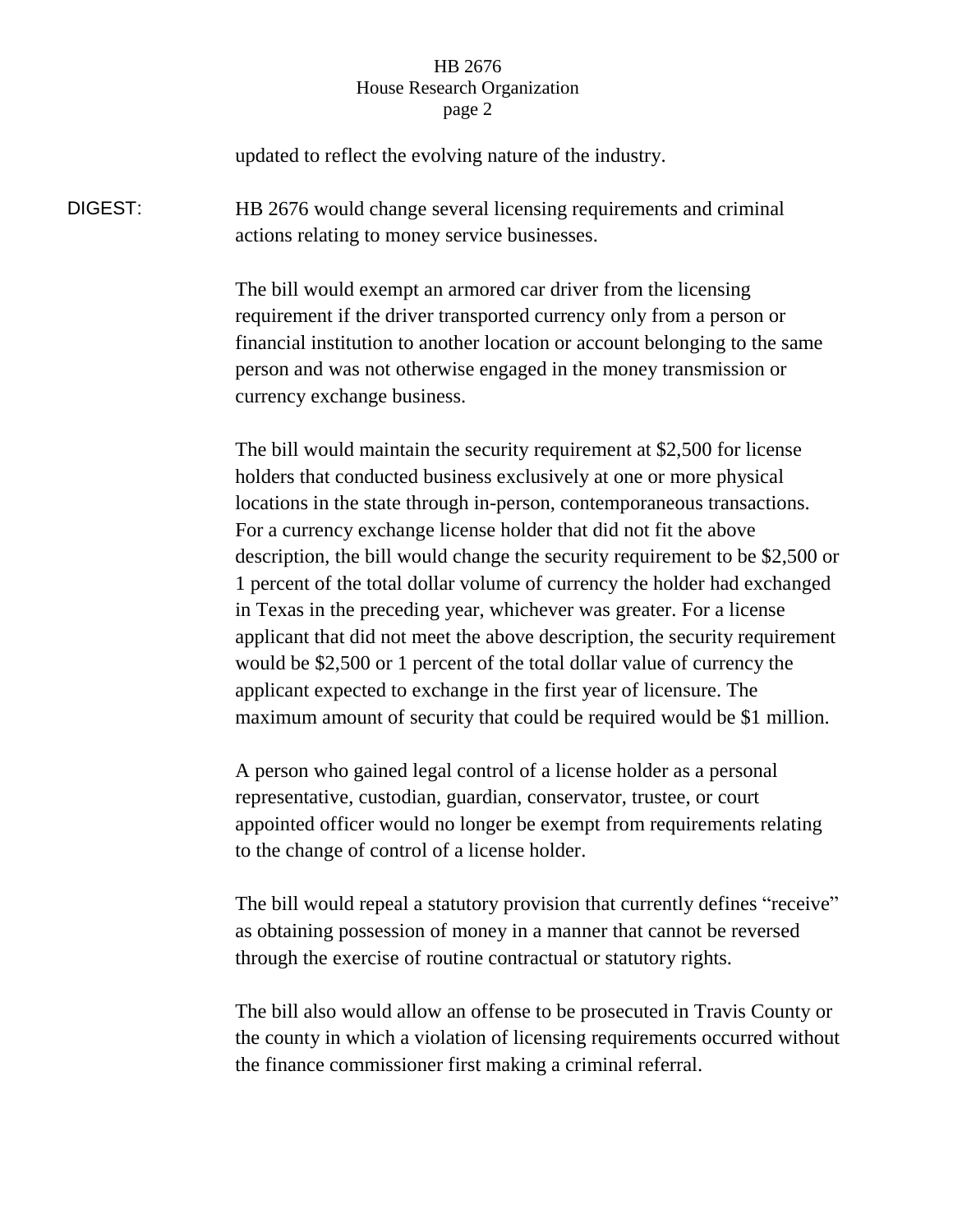## HB 2676 House Research Organization page 2

updated to reflect the evolving nature of the industry.

DIGEST: HB 2676 would change several licensing requirements and criminal actions relating to money service businesses.

> The bill would exempt an armored car driver from the licensing requirement if the driver transported currency only from a person or financial institution to another location or account belonging to the same person and was not otherwise engaged in the money transmission or currency exchange business.

The bill would maintain the security requirement at \$2,500 for license holders that conducted business exclusively at one or more physical locations in the state through in-person, contemporaneous transactions. For a currency exchange license holder that did not fit the above description, the bill would change the security requirement to be \$2,500 or 1 percent of the total dollar volume of currency the holder had exchanged in Texas in the preceding year, whichever was greater. For a license applicant that did not meet the above description, the security requirement would be \$2,500 or 1 percent of the total dollar value of currency the applicant expected to exchange in the first year of licensure. The maximum amount of security that could be required would be \$1 million.

A person who gained legal control of a license holder as a personal representative, custodian, guardian, conservator, trustee, or court appointed officer would no longer be exempt from requirements relating to the change of control of a license holder.

The bill would repeal a statutory provision that currently defines "receive" as obtaining possession of money in a manner that cannot be reversed through the exercise of routine contractual or statutory rights.

The bill also would allow an offense to be prosecuted in Travis County or the county in which a violation of licensing requirements occurred without the finance commissioner first making a criminal referral.